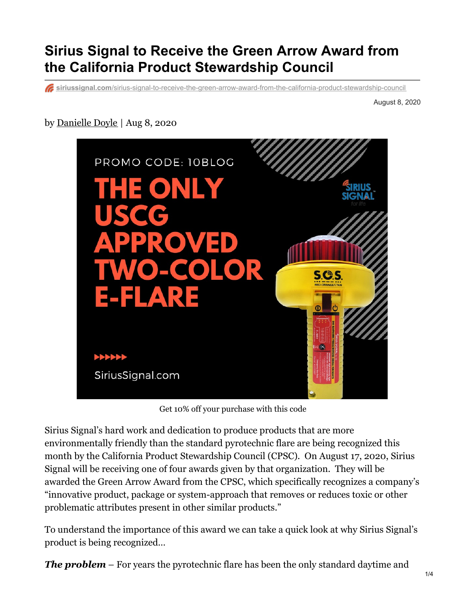## **Sirius Signal to Receive the Green Arrow Award from the California Product Stewardship Council**

**siriussignal.com**[/sirius-signal-to-receive-the-green-arrow-award-from-the-california-product-stewardship-council](https://siriussignal.com/sirius-signal-to-receive-the-green-arrow-award-from-the-california-product-stewardship-council/)

August 8, 2020

## by [Danielle](https://siriussignal.com/author/danielle-doyle/) Doyle | Aug 8, 2020



Get 10% off your purchase with this code

Sirius Signal's hard work and dedication to produce products that are more environmentally friendly than the standard pyrotechnic flare are being recognized this month by the California Product Stewardship Council (CPSC). On August 17, 2020, Sirius Signal will be receiving one of four awards given by that organization. They will be awarded the Green Arrow Award from the CPSC, which specifically recognizes a company's "innovative product, package or system-approach that removes or reduces toxic or other problematic attributes present in other similar products."

To understand the importance of this award we can take a quick look at why Sirius Signal's product is being recognized…

*The problem* – For years the pyrotechnic flare has been the only standard daytime and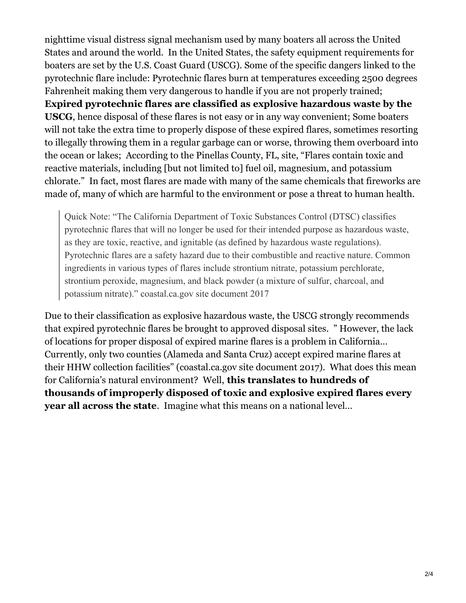nighttime visual distress signal mechanism used by many boaters all across the United States and around the world. In the United States, the safety equipment requirements for boaters are set by the U.S. Coast Guard (USCG). Some of the specific dangers linked to the pyrotechnic flare include: Pyrotechnic flares burn at temperatures exceeding 2500 degrees Fahrenheit making them very dangerous to handle if you are not properly trained; **Expired pyrotechnic flares are classified as explosive hazardous waste by the USCG**, hence disposal of these flares is not easy or in any way convenient; Some boaters will not take the extra time to properly dispose of these expired flares, sometimes resorting to illegally throwing them in a regular garbage can or worse, throwing them overboard into the ocean or lakes; According to the Pinellas County, FL, site, "Flares contain toxic and reactive materials, including [but not limited to] fuel oil, magnesium, and potassium chlorate." In fact, most flares are made with many of the same chemicals that fireworks are made of, many of which are harmful to the environment or pose a threat to human health.

Quick Note: "The California Department of Toxic Substances Control (DTSC) classifies pyrotechnic flares that will no longer be used for their intended purpose as hazardous waste, as they are toxic, reactive, and ignitable (as defined by hazardous waste regulations). Pyrotechnic flares are a safety hazard due to their combustible and reactive nature. Common ingredients in various types of flares include strontium nitrate, potassium perchlorate, strontium peroxide, magnesium, and black powder (a mixture of sulfur, charcoal, and potassium nitrate)." coastal.ca.gov site document 2017

Due to their classification as explosive hazardous waste, the USCG strongly recommends that expired pyrotechnic flares be brought to approved disposal sites. " However, the lack of locations for proper disposal of expired marine flares is a problem in California… Currently, only two counties (Alameda and Santa Cruz) accept expired marine flares at their HHW collection facilities" (coastal.ca.gov site document 2017). What does this mean for California's natural environment? Well, **this translates to hundreds of thousands of improperly disposed of toxic and explosive expired flares every year all across the state**. Imagine what this means on a national level…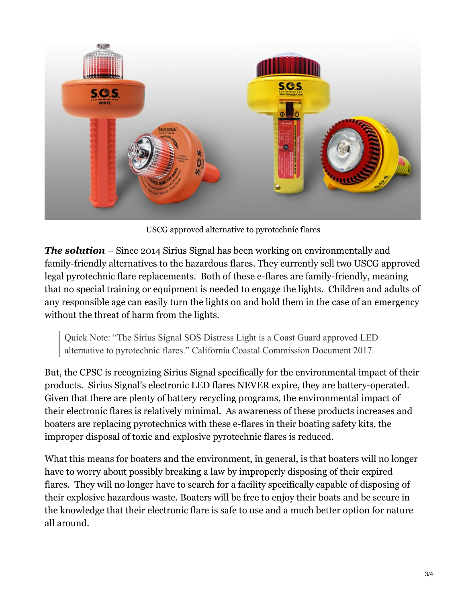

USCG approved alternative to pyrotechnic flares

*The solution* – Since 2014 Sirius Signal has been working on environmentally and family-friendly alternatives to the hazardous flares. They currently sell two USCG approved legal pyrotechnic flare replacements. Both of these e-flares are family-friendly, meaning that no special training or equipment is needed to engage the lights. Children and adults of any responsible age can easily turn the lights on and hold them in the case of an emergency without the threat of harm from the lights.

Quick Note: "The Sirius Signal SOS Distress Light is a Coast Guard approved LED alternative to pyrotechnic flares." California Coastal Commission Document 2017

But, the CPSC is recognizing Sirius Signal specifically for the environmental impact of their products. Sirius Signal's electronic LED flares NEVER expire, they are battery-operated. Given that there are plenty of battery recycling programs, the environmental impact of their electronic flares is relatively minimal. As awareness of these products increases and boaters are replacing pyrotechnics with these e-flares in their boating safety kits, the improper disposal of toxic and explosive pyrotechnic flares is reduced.

What this means for boaters and the environment, in general, is that boaters will no longer have to worry about possibly breaking a law by improperly disposing of their expired flares. They will no longer have to search for a facility specifically capable of disposing of their explosive hazardous waste. Boaters will be free to enjoy their boats and be secure in the knowledge that their electronic flare is safe to use and a much better option for nature all around.